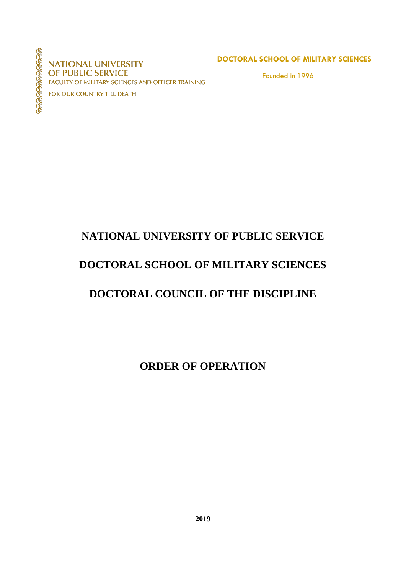99999999999999

**NATIONAL UNIVERSITY** OF PUBLIC SERVICE FACULTY OF MILITARY SCIENCES AND OFFICER TRAINING

FOR OUR COUNTRY TILL DEATH!

#### **DOCTORAL SCHOOL OF MILITARY SCIENCES**

Founded in 1996

# **NATIONAL UNIVERSITY OF PUBLIC SERVICE**

# **DOCTORAL SCHOOL OF MILITARY SCIENCES**

# **DOCTORAL COUNCIL OF THE DISCIPLINE**

**ORDER OF OPERATION**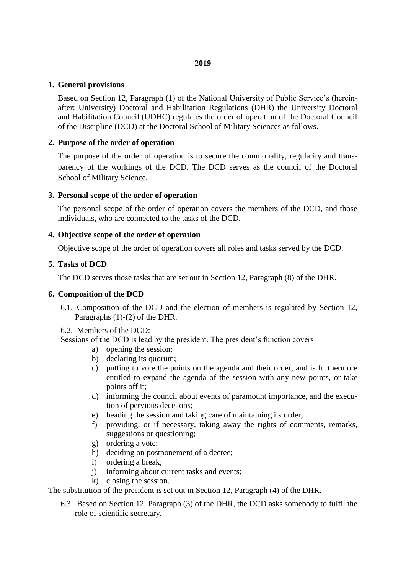#### **1. General provisions**

Based on Section 12, Paragraph (1) of the National University of Public Service's (hereinafter: University) Doctoral and Habilitation Regulations (DHR) the University Doctoral and Habilitation Council (UDHC) regulates the order of operation of the Doctoral Council of the Discipline (DCD) at the Doctoral School of Military Sciences as follows.

## **2. Purpose of the order of operation**

The purpose of the order of operation is to secure the commonality, regularity and transparency of the workings of the DCD. The DCD serves as the council of the Doctoral School of Military Science.

## **3. Personal scope of the order of operation**

The personal scope of the order of operation covers the members of the DCD, and those individuals, who are connected to the tasks of the DCD.

## **4. Objective scope of the order of operation**

Objective scope of the order of operation covers all roles and tasks served by the DCD.

## **5. Tasks of DCD**

The DCD serves those tasks that are set out in Section 12, Paragraph (8) of the DHR.

#### **6. Composition of the DCD**

- 6.1. Composition of the DCD and the election of members is regulated by Section 12, Paragraphs (1)-(2) of the DHR.
- 6.2. Members of the DCD:

Sessions of the DCD is lead by the president. The president's function covers:

- a) opening the session;
- b) declaring its quorum;
- c) putting to vote the points on the agenda and their order, and is furthermore entitled to expand the agenda of the session with any new points, or take points off it;
- d) informing the council about events of paramount importance, and the execution of pervious decisions;
- e) heading the session and taking care of maintaining its order;
- f) providing, or if necessary, taking away the rights of comments, remarks, suggestions or questioning;
- g) ordering a vote;
- h) deciding on postponement of a decree;
- i) ordering a break;
- j) informing about current tasks and events;
- k) closing the session.

The substitution of the president is set out in Section 12, Paragraph (4) of the DHR.

6.3. Based on Section 12, Paragraph (3) of the DHR, the DCD asks somebody to fulfil the role of scientific secretary.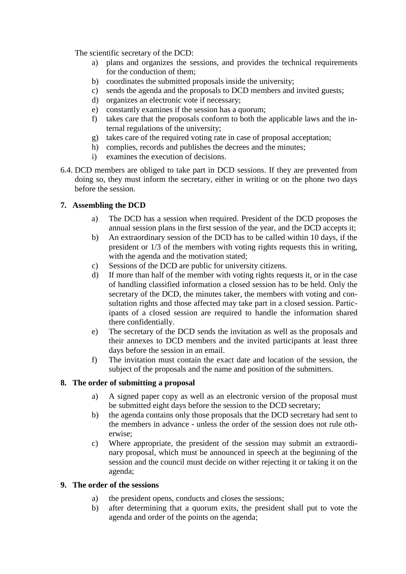The scientific secretary of the DCD:

- a) plans and organizes the sessions, and provides the technical requirements for the conduction of them;
- b) coordinates the submitted proposals inside the university;
- c) sends the agenda and the proposals to DCD members and invited guests;
- d) organizes an electronic vote if necessary;
- e) constantly examines if the session has a quorum;
- f) takes care that the proposals conform to both the applicable laws and the internal regulations of the university;
- g) takes care of the required voting rate in case of proposal acceptation;
- h) complies, records and publishes the decrees and the minutes;
- i) examines the execution of decisions.
- 6.4. DCD members are obliged to take part in DCD sessions. If they are prevented from doing so, they must inform the secretary, either in writing or on the phone two days before the session.

# **7. Assembling the DCD**

- a) The DCD has a session when required. President of the DCD proposes the annual session plans in the first session of the year, and the DCD accepts it;
- b) An extraordinary session of the DCD has to be called within 10 days, if the president or 1/3 of the members with voting rights requests this in writing, with the agenda and the motivation stated;
- c) Sessions of the DCD are public for university citizens.
- d) If more than half of the member with voting rights requests it, or in the case of handling classified information a closed session has to be held. Only the secretary of the DCD, the minutes taker, the members with voting and consultation rights and those affected may take part in a closed session. Participants of a closed session are required to handle the information shared there confidentially.
- e) The secretary of the DCD sends the invitation as well as the proposals and their annexes to DCD members and the invited participants at least three days before the session in an email.
- f) The invitation must contain the exact date and location of the session, the subject of the proposals and the name and position of the submitters.

# **8. The order of submitting a proposal**

- a) A signed paper copy as well as an electronic version of the proposal must be submitted eight days before the session to the DCD secretary;
- b) the agenda contains only those proposals that the DCD secretary had sent to the members in advance - unless the order of the session does not rule otherwise;
- c) Where appropriate, the president of the session may submit an extraordinary proposal, which must be announced in speech at the beginning of the session and the council must decide on wither rejecting it or taking it on the agenda;

# **9. The order of the sessions**

- a) the president opens, conducts and closes the sessions;
- b) after determining that a quorum exits, the president shall put to vote the agenda and order of the points on the agenda;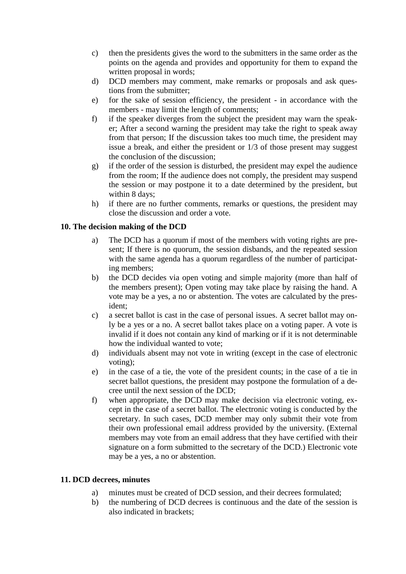- c) then the presidents gives the word to the submitters in the same order as the points on the agenda and provides and opportunity for them to expand the written proposal in words;
- d) DCD members may comment, make remarks or proposals and ask questions from the submitter;
- e) for the sake of session efficiency, the president in accordance with the members - may limit the length of comments;
- f) if the speaker diverges from the subject the president may warn the speaker; After a second warning the president may take the right to speak away from that person; If the discussion takes too much time, the president may issue a break, and either the president or 1/3 of those present may suggest the conclusion of the discussion;
- g) if the order of the session is disturbed, the president may expel the audience from the room; If the audience does not comply, the president may suspend the session or may postpone it to a date determined by the president, but within 8 days;
- h) if there are no further comments, remarks or questions, the president may close the discussion and order a vote.

## **10. The decision making of the DCD**

- a) The DCD has a quorum if most of the members with voting rights are present; If there is no quorum, the session disbands, and the repeated session with the same agenda has a quorum regardless of the number of participating members;
- b) the DCD decides via open voting and simple majority (more than half of the members present); Open voting may take place by raising the hand. A vote may be a yes, a no or abstention. The votes are calculated by the president;
- c) a secret ballot is cast in the case of personal issues. A secret ballot may only be a yes or a no. A secret ballot takes place on a voting paper. A vote is invalid if it does not contain any kind of marking or if it is not determinable how the individual wanted to vote;
- d) individuals absent may not vote in writing (except in the case of electronic voting);
- e) in the case of a tie, the vote of the president counts; in the case of a tie in secret ballot questions, the president may postpone the formulation of a decree until the next session of the DCD;
- f) when appropriate, the DCD may make decision via electronic voting, except in the case of a secret ballot. The electronic voting is conducted by the secretary. In such cases, DCD member may only submit their vote from their own professional email address provided by the university. (External members may vote from an email address that they have certified with their signature on a form submitted to the secretary of the DCD.) Electronic vote may be a yes, a no or abstention.

# **11. DCD decrees, minutes**

- a) minutes must be created of DCD session, and their decrees formulated;
- b) the numbering of DCD decrees is continuous and the date of the session is also indicated in brackets;